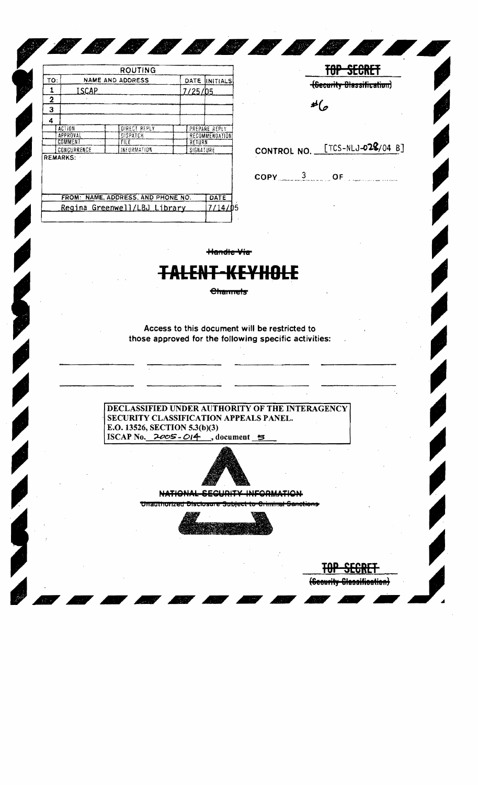|     |                 | ROUTING                            |           |                |
|-----|-----------------|------------------------------------|-----------|----------------|
| TO: |                 | NAME AND ADDRESS                   | DATE      | IINITIALS      |
| 1   | <b>ISCAP</b>    |                                    | 7/25/05   |                |
| 2   |                 |                                    |           |                |
| 3   |                 |                                    |           |                |
| 4   |                 |                                    |           |                |
|     | <b>ACTION</b>   | <b>DIRECT REPLY</b>                |           | PREPARE REPLY  |
|     | APPROVAL        | <b>BISPATCH</b>                    |           | RECOMMENDATION |
|     | <b>COMMENT</b>  | File<br>RETURN                     |           |                |
|     | CONCURRENCE     | INFORMATION                        | SIGNATURE |                |
|     | <b>REMARKS:</b> |                                    |           |                |
|     |                 |                                    |           |                |
|     |                 | FROM: NAME, ADDRESS, AND PHONE NO. |           | DATE           |

CONTROL NO. [TCS-NLJ-028/04 B]  $COPY$  3 OF  $\frac{3}{2}$ 

 $\frac{1}{2}$ 

p

TOP SECRET (Security Blassification)

Handle Via

8 8 8 8 8 8 8 1

# <del>ALENT-KEYHOLE</del>

**Channels** 

Access to this document will be restricted to those approved for the following specific activities:

DECLASSIFIED UNDER AUTHORITY OF THE INTERAGENCY SECURITY CLASSIFICATION APPEALS PANEL. E.O. 13526, SECTION 5.3(b)(3) ISCAP No.  $2005 - 014$ , document 5



### NATIONAL SECURITY INFORMATION

Unauthorized Disclosure Subject to Criminal Sanctions



(Scourity Classification)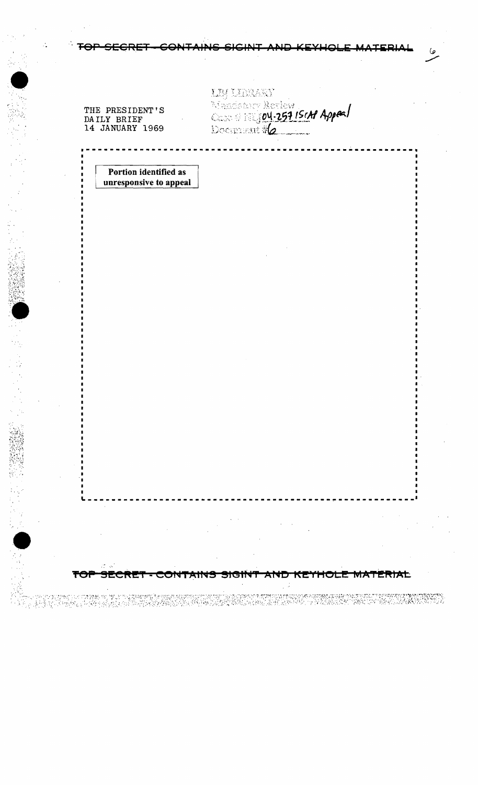### **TAINS SIGIN**

THE PRESIDENT'S DAILY BRIEF<br>14 JANUARY 1969

SECRET

prestytus manguel no ny Lomby geography i orangeles<br>Amerika y brief modely kristia i brity belizzationis

≂

CONTAINS

StGtt

**AND** 

32.359.992

KETHOLE MATERIAL

האיירי המורח המורח המורח מורח מורח המורח המורח המורח המורח המורח המורח המורח המורח המורח המורח המורח המורח המו<br>המורח המורח המורח המורח המורח המורח המורח המורח המורח המורח המורח המורח המורח המורח המורח המורח המורח המורח המ

**IN DERARY** Sandon Review<br>Comment #2 ما

Portion identified as unresponsive to appeal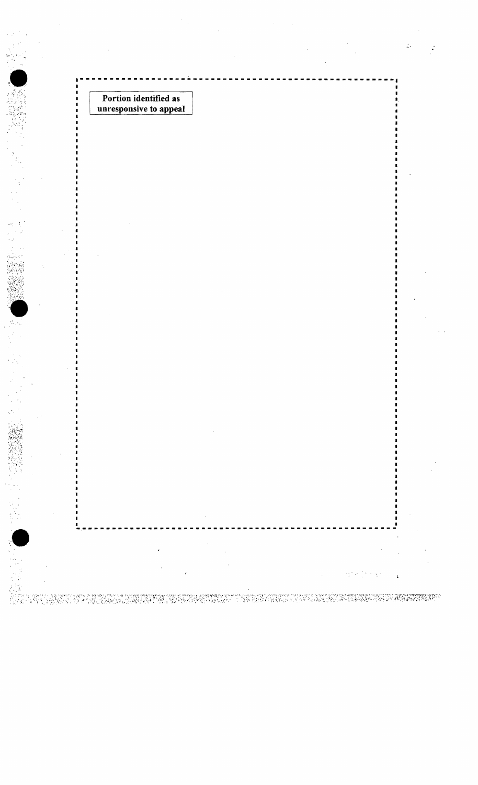Portion identified as unresponsive to appeal Ŀ.

حداقي

TAN TARAN YANG BAYANG MARKATAN BARA DAN KANGGAT TERBAHAN SERIKA TERSEBUTAN DAN KALENDARAN BARA SERIKA PERANG D<br>TANGGAN SERIKA SERIKAN DAN SERIKA PADA SERIKA SERIKA TERSEBUTU SERIKA SERIKA DAN SERIKA DAN SERIKA SERIKA BASA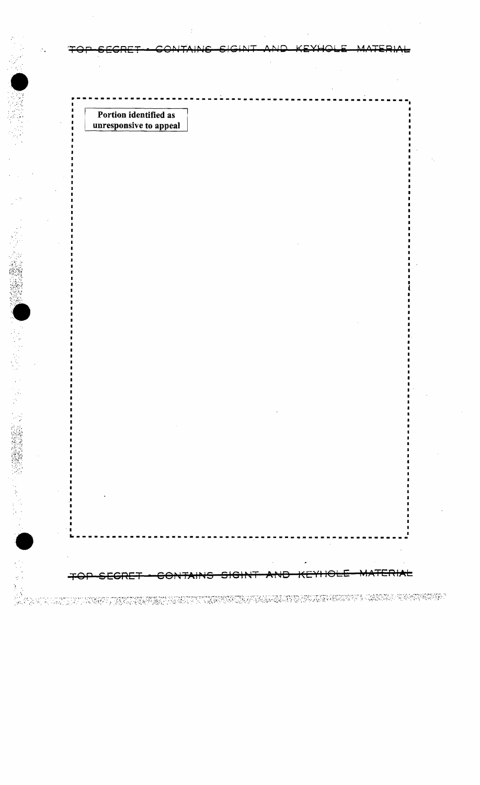Portion identified as unresponsive to appeal

⊖⊖+

DE EN COMMUNES DE LA NORMALIA AMENY A DE PRODUCTIONALE DE L'ALCUNIA DE L'ALCUNIA EN CALIDAN DE L'ALCUNIA EN PE<br>L'ALCUNIA DE L'ALCUNIA DE L'ALCUNIA DE L'ALCUNIA DE L'ALCUNIA DE L'ALCUNIA EL L'ALCUNIA EN L'ALCUNIA DEL PERSO

<del>ERIAL</del>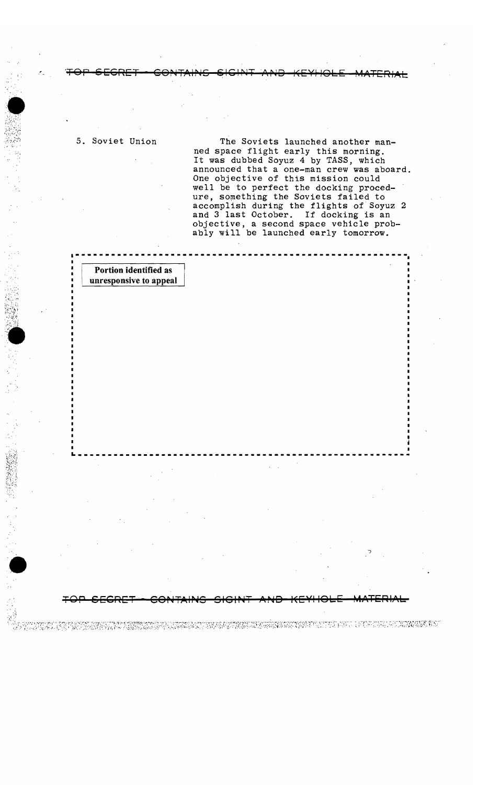## 5. Soviet Union

 $\mathcal{R}^{\mathcal{N}+1}$ 

 $\overline{m}$  is Soyiste Jayrahad awathous  $\overline{m}$ The Soviets launched another manned space flight early this morning. It was dubbed Soyuz 4 by TASS, which unnounced that a one-man crew was abo One objective of this mission could well be to perfect the docking procedobject something the Soviets failed to accomplish during the flights of Soyuz objective, a second space vehicle probably will be launched early tomorrow.

ned space flight early this morning.

5. Soviet Union The Soviets launched another man-

 $\frac{1}{3}$ 

TOP SECRET 60% (SECRET 60%). G GIGIP, TAIRING ISLAMIC MATERIAL AND THE SECRET 60% (SECRET 60%). G GIGIP, TAIRIN<br>G GIGIP, TAIRING ISLAMIC MATERIAL AND THE SECRET 60% (SECRET 60%). G GIGIP, TAIRING ISLAMIC MATERIAL AND THE S

## Portion identified as unresponsive to appeal

Portion identified I unresponsive to app

 $\blacksquare$